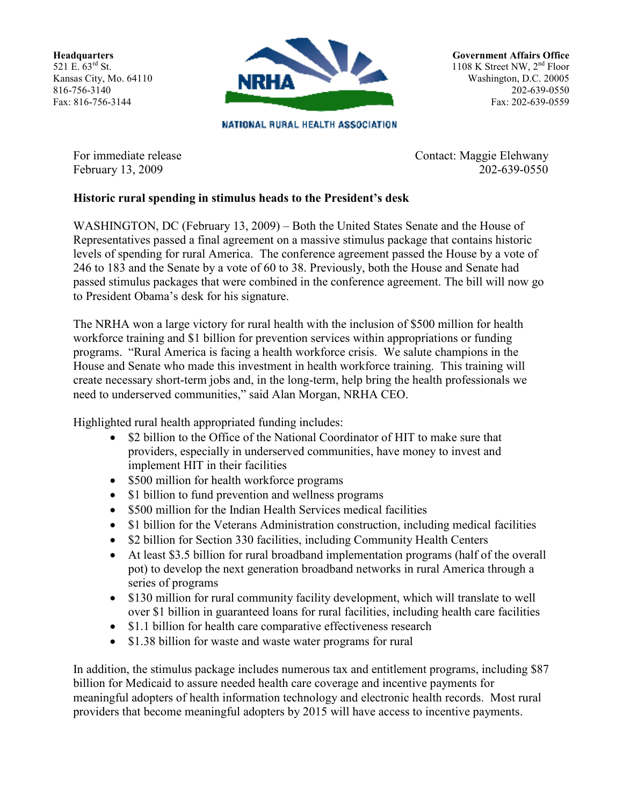**Headquarters** 521 E. 63rd St. Kansas City, Mo. 64110 816-756-3140 Fax: 816-756-3144



NATIONAL RURAL HEALTH ASSOCIATION

Government Affairs Office 1108 K Street NW, 2<sup>nd</sup> Floor Washington, D.C. 20005 202-639-0550 Fax: 202-639-0559

February 13, 2009

For immediate release Contact: Maggie Elehwany<br>February 13, 2009 202-639-0550

## Historic rural spending in stimulus heads to the President's desk

WASHINGTON, DC (February 13, 2009) – Both the United States Senate and the House of Representatives passed a final agreement on a massive stimulus package that contains historic levels of spending for rural America. The conference agreement passed the House by a vote of 246 to 183 and the Senate by a vote of 60 to 38. Previously, both the House and Senate had passed stimulus packages that were combined in the conference agreement. The bill will now go to President Obama's desk for his signature.

The NRHA won a large victory for rural health with the inclusion of \$500 million for health workforce training and \$1 billion for prevention services within appropriations or funding programs. "Rural America is facing a health workforce crisis. We salute champions in the House and Senate who made this investment in health workforce training. This training will create necessary short-term jobs and, in the long-term, help bring the health professionals we need to underserved communities," said Alan Morgan, NRHA CEO.

Highlighted rural health appropriated funding includes:

- \$2 billion to the Office of the National Coordinator of HIT to make sure that providers, especially in underserved communities, have money to invest and implement HIT in their facilities
- \$500 million for health workforce programs
- \$1 billion to fund prevention and wellness programs
- \$500 million for the Indian Health Services medical facilities
- \$1 billion for the Veterans Administration construction, including medical facilities
- \$2 billion for Section 330 facilities, including Community Health Centers
- At least \$3.5 billion for rural broadband implementation programs (half of the overall pot) to develop the next generation broadband networks in rural America through a series of programs
- \$130 million for rural community facility development, which will translate to well over \$1 billion in guaranteed loans for rural facilities, including health care facilities
- \$1.1 billion for health care comparative effectiveness research
- \$1.38 billion for waste and waste water programs for rural

In addition, the stimulus package includes numerous tax and entitlement programs, including \$87 billion for Medicaid to assure needed health care coverage and incentive payments for meaningful adopters of health information technology and electronic health records. Most rural providers that become meaningful adopters by 2015 will have access to incentive payments.